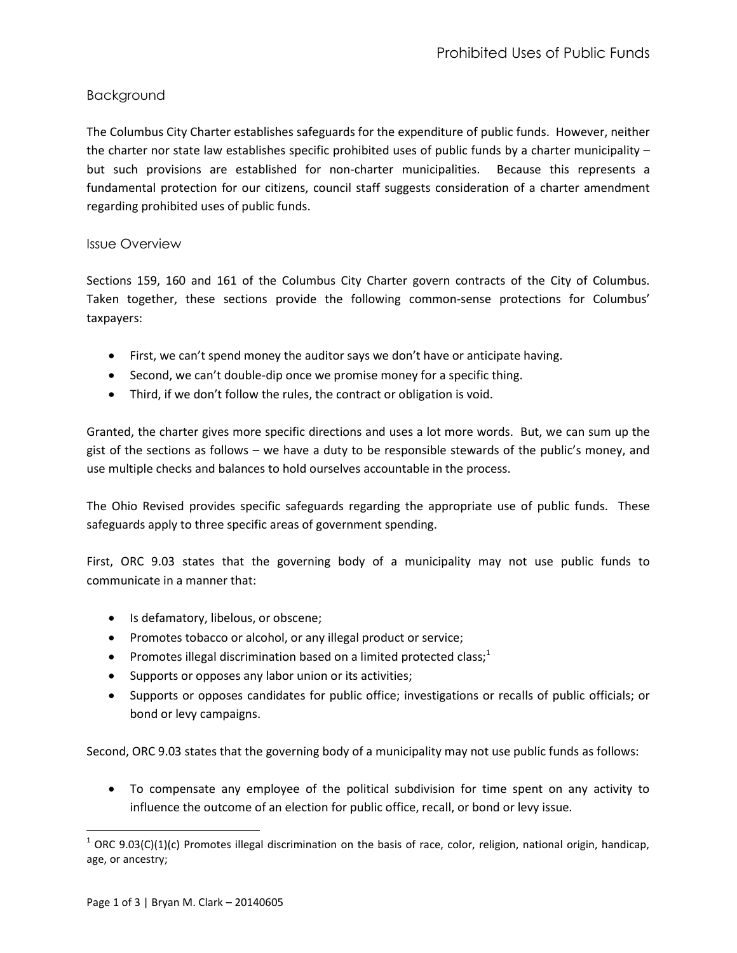## Background

The Columbus City Charter establishes safeguards for the expenditure of public funds. However, neither the charter nor state law establishes specific prohibited uses of public funds by a charter municipality – but such provisions are established for non-charter municipalities. Because this represents a fundamental protection for our citizens, council staff suggests consideration of a charter amendment regarding prohibited uses of public funds.

## Issue Overview

Sections 159, 160 and 161 of the Columbus City Charter govern contracts of the City of Columbus. Taken together, these sections provide the following common-sense protections for Columbus' taxpayers:

- First, we can't spend money the auditor says we don't have or anticipate having.
- Second, we can't double-dip once we promise money for a specific thing.
- Third, if we don't follow the rules, the contract or obligation is void.

Granted, the charter gives more specific directions and uses a lot more words. But, we can sum up the gist of the sections as follows – we have a duty to be responsible stewards of the public's money, and use multiple checks and balances to hold ourselves accountable in the process.

The Ohio Revised provides specific safeguards regarding the appropriate use of public funds. These safeguards apply to three specific areas of government spending.

First, ORC 9.03 states that the governing body of a municipality may not use public funds to communicate in a manner that:

- Is defamatory, libelous, or obscene;
- Promotes tobacco or alcohol, or any illegal product or service;
- **•** Promotes illegal discrimination based on a limited protected class;<sup>1</sup>
- Supports or opposes any labor union or its activities;
- Supports or opposes candidates for public office; investigations or recalls of public officials; or bond or levy campaigns.

Second, ORC 9.03 states that the governing body of a municipality may not use public funds as follows:

 To compensate any employee of the political subdivision for time spent on any activity to influence the outcome of an election for public office, recall, or bond or levy issue.

l

 $^1$  ORC 9.03(C)(1)(c) Promotes illegal discrimination on the basis of race, color, religion, national origin, handicap, age, or ancestry;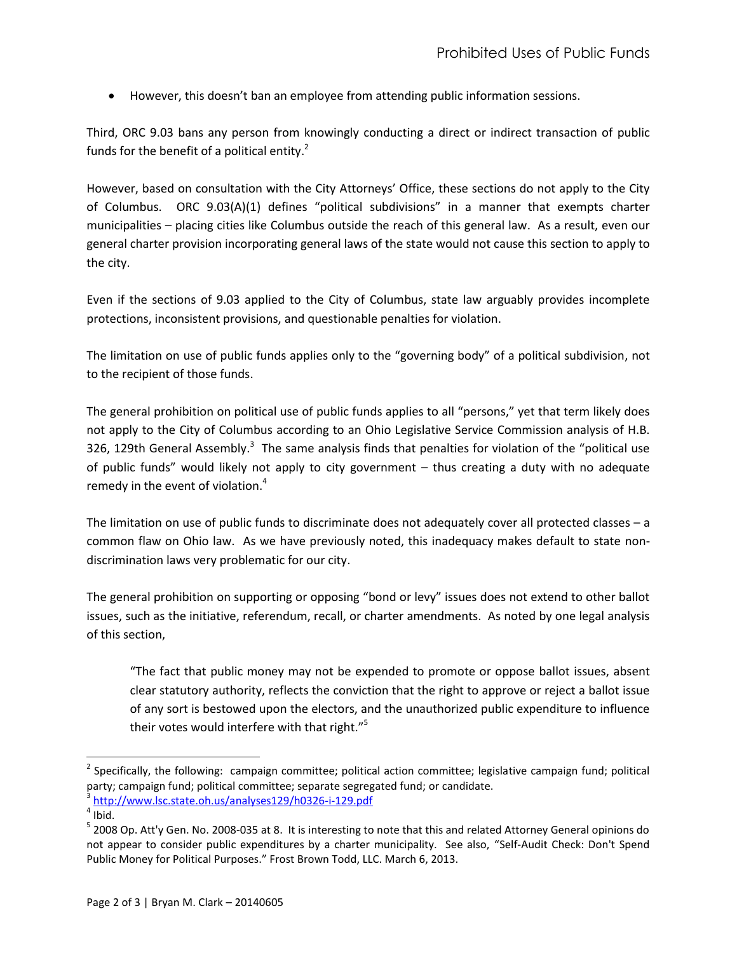However, this doesn't ban an employee from attending public information sessions.

Third, ORC 9.03 bans any person from knowingly conducting a direct or indirect transaction of public funds for the benefit of a political entity. $2^2$ 

However, based on consultation with the City Attorneys' Office, these sections do not apply to the City of Columbus. ORC 9.03(A)(1) defines "political subdivisions" in a manner that exempts charter municipalities – placing cities like Columbus outside the reach of this general law. As a result, even our general charter provision incorporating general laws of the state would not cause this section to apply to the city.

Even if the sections of 9.03 applied to the City of Columbus, state law arguably provides incomplete protections, inconsistent provisions, and questionable penalties for violation.

The limitation on use of public funds applies only to the "governing body" of a political subdivision, not to the recipient of those funds.

The general prohibition on political use of public funds applies to all "persons," yet that term likely does not apply to the City of Columbus according to an Ohio Legislative Service Commission analysis of H.B. 326, 129th General Assembly.<sup>3</sup> The same analysis finds that penalties for violation of the "political use of public funds" would likely not apply to city government – thus creating a duty with no adequate remedy in the event of violation. $4$ 

The limitation on use of public funds to discriminate does not adequately cover all protected classes – a common flaw on Ohio law. As we have previously noted, this inadequacy makes default to state nondiscrimination laws very problematic for our city.

The general prohibition on supporting or opposing "bond or levy" issues does not extend to other ballot issues, such as the initiative, referendum, recall, or charter amendments. As noted by one legal analysis of this section,

"The fact that public money may not be expended to promote or oppose ballot issues, absent clear statutory authority, reflects the conviction that the right to approve or reject a ballot issue of any sort is bestowed upon the electors, and the unauthorized public expenditure to influence their votes would interfere with that right."<sup>5</sup>

 $\overline{\phantom{a}}$ 

 $^2$  Specifically, the following: campaign committee; political action committee; legislative campaign fund; political party; campaign fund; political committee; separate segregated fund; or candidate.

<sup>3</sup> <http://www.lsc.state.oh.us/analyses129/h0326-i-129.pdf>

 $<sup>4</sup>$  Ibid.</sup>

<sup>&</sup>lt;sup>5</sup> 2008 Op. Att'y Gen. No. 2008-035 at 8. It is interesting to note that this and related Attorney General opinions do not appear to consider public expenditures by a charter municipality. See also, "Self-Audit Check: Don't Spend Public Money for Political Purposes." Frost Brown Todd, LLC. March 6, 2013.